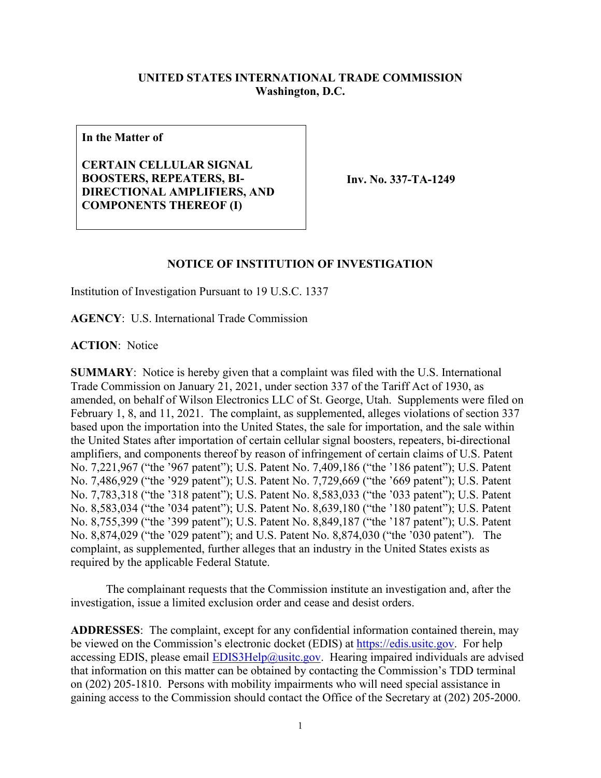## **UNITED STATES INTERNATIONAL TRADE COMMISSION Washington, D.C.**

**In the Matter of**

**CERTAIN CELLULAR SIGNAL BOOSTERS, REPEATERS, BI-DIRECTIONAL AMPLIFIERS, AND COMPONENTS THEREOF (I)**

**Inv. No. 337-TA-1249**

## **NOTICE OF INSTITUTION OF INVESTIGATION**

Institution of Investigation Pursuant to 19 U.S.C. 1337

**AGENCY**: U.S. International Trade Commission

**ACTION**: Notice

**SUMMARY**: Notice is hereby given that a complaint was filed with the U.S. International Trade Commission on January 21, 2021, under section 337 of the Tariff Act of 1930, as amended, on behalf of Wilson Electronics LLC of St. George, Utah. Supplements were filed on February 1, 8, and 11, 2021. The complaint, as supplemented, alleges violations of section 337 based upon the importation into the United States, the sale for importation, and the sale within the United States after importation of certain cellular signal boosters, repeaters, bi-directional amplifiers, and components thereof by reason of infringement of certain claims of U.S. Patent No. 7,221,967 ("the '967 patent"); U.S. Patent No. 7,409,186 ("the '186 patent"); U.S. Patent No. 7,486,929 ("the '929 patent"); U.S. Patent No. 7,729,669 ("the '669 patent"); U.S. Patent No. 7,783,318 ("the '318 patent"); U.S. Patent No. 8,583,033 ("the '033 patent"); U.S. Patent No. 8,583,034 ("the '034 patent"); U.S. Patent No. 8,639,180 ("the '180 patent"); U.S. Patent No. 8,755,399 ("the '399 patent"); U.S. Patent No. 8,849,187 ("the '187 patent"); U.S. Patent No. 8,874,029 ("the '029 patent"); and U.S. Patent No. 8,874,030 ("the '030 patent"). The complaint, as supplemented, further alleges that an industry in the United States exists as required by the applicable Federal Statute.

The complainant requests that the Commission institute an investigation and, after the investigation, issue a limited exclusion order and cease and desist orders.

**ADDRESSES**: The complaint, except for any confidential information contained therein, may be viewed on the Commission's electronic docket (EDIS) at [https://edis.usitc.gov.](https://edis.usitc.gov/) For help accessing EDIS, please email  $EDIS3Help@usite.gov$ . Hearing impaired individuals are advised that information on this matter can be obtained by contacting the Commission's TDD terminal on (202) 205-1810. Persons with mobility impairments who will need special assistance in gaining access to the Commission should contact the Office of the Secretary at (202) 205-2000.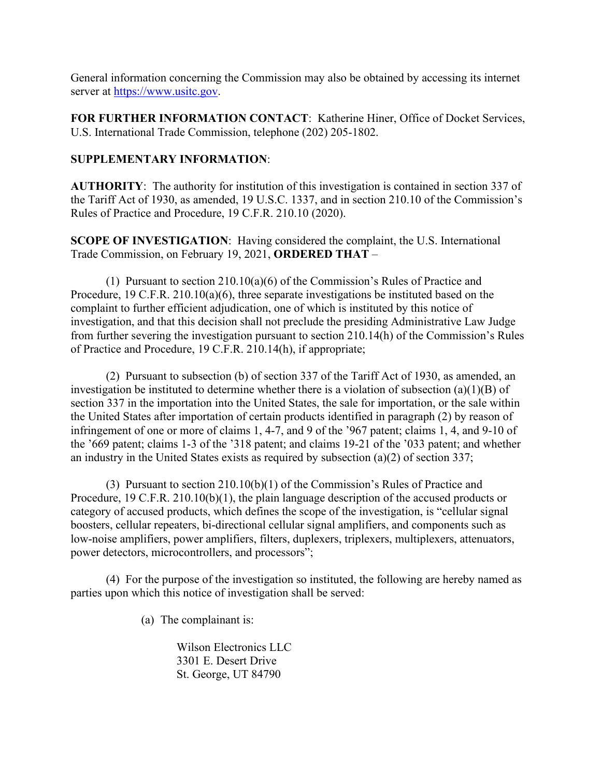General information concerning the Commission may also be obtained by accessing its internet server at [https://www.usitc.gov.](https://www.usitc.gov/)

**FOR FURTHER INFORMATION CONTACT**: Katherine Hiner, Office of Docket Services, U.S. International Trade Commission, telephone (202) 205-1802.

## **SUPPLEMENTARY INFORMATION**:

**AUTHORITY**: The authority for institution of this investigation is contained in section 337 of the Tariff Act of 1930, as amended, 19 U.S.C. 1337, and in section 210.10 of the Commission's Rules of Practice and Procedure, 19 C.F.R. 210.10 (2020).

**SCOPE OF INVESTIGATION**: Having considered the complaint, the U.S. International Trade Commission, on February 19, 2021, **ORDERED THAT** –

(1) Pursuant to section 210.10(a)(6) of the Commission's Rules of Practice and Procedure, 19 C.F.R. 210.10(a)(6), three separate investigations be instituted based on the complaint to further efficient adjudication, one of which is instituted by this notice of investigation, and that this decision shall not preclude the presiding Administrative Law Judge from further severing the investigation pursuant to section 210.14(h) of the Commission's Rules of Practice and Procedure, 19 C.F.R. 210.14(h), if appropriate;

(2) Pursuant to subsection (b) of section 337 of the Tariff Act of 1930, as amended, an investigation be instituted to determine whether there is a violation of subsection (a)(1)(B) of section 337 in the importation into the United States, the sale for importation, or the sale within the United States after importation of certain products identified in paragraph (2) by reason of infringement of one or more of claims 1, 4-7, and 9 of the '967 patent; claims 1, 4, and 9-10 of the '669 patent; claims 1-3 of the '318 patent; and claims 19-21 of the '033 patent; and whether an industry in the United States exists as required by subsection (a)(2) of section 337;

(3) Pursuant to section 210.10(b)(1) of the Commission's Rules of Practice and Procedure, 19 C.F.R. 210.10(b)(1), the plain language description of the accused products or category of accused products, which defines the scope of the investigation, is "cellular signal boosters, cellular repeaters, bi-directional cellular signal amplifiers, and components such as low-noise amplifiers, power amplifiers, filters, duplexers, triplexers, multiplexers, attenuators, power detectors, microcontrollers, and processors";

(4) For the purpose of the investigation so instituted, the following are hereby named as parties upon which this notice of investigation shall be served:

(a) The complainant is:

Wilson Electronics LLC 3301 E. Desert Drive St. George, UT 84790